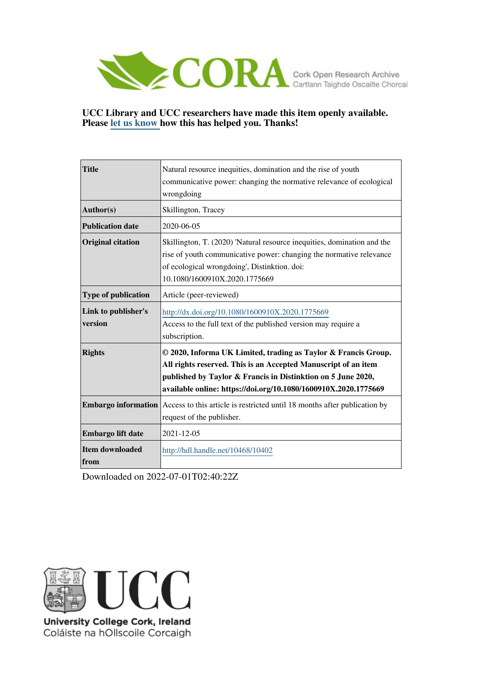

## **UCC Library and UCC researchers have made this item openly available. Please [let us know h](https://libguides.ucc.ie/openaccess/impact?suffix=10402&title=Natural resource inequities, domination and the rise of youth communicative power: changing the normative relevance of ecological wrongdoing)ow this has helped you. Thanks!**

| <b>Title</b>                   | Natural resource inequities, domination and the rise of youth<br>communicative power: changing the normative relevance of ecological<br>wrongdoing                                                                                                                  |
|--------------------------------|---------------------------------------------------------------------------------------------------------------------------------------------------------------------------------------------------------------------------------------------------------------------|
| Author(s)                      | Skillington, Tracey                                                                                                                                                                                                                                                 |
| <b>Publication date</b>        | 2020-06-05                                                                                                                                                                                                                                                          |
| <b>Original citation</b>       | Skillington, T. (2020) 'Natural resource inequities, domination and the<br>rise of youth communicative power: changing the normative relevance<br>of ecological wrongdoing', Distinktion. doi:<br>10.1080/1600910X.2020.1775669                                     |
| Type of publication            | Article (peer-reviewed)                                                                                                                                                                                                                                             |
| Link to publisher's<br>version | http://dx.doi.org/10.1080/1600910X.2020.1775669<br>Access to the full text of the published version may require a<br>subscription.                                                                                                                                  |
| <b>Rights</b>                  | © 2020, Informa UK Limited, trading as Taylor & Francis Group.<br>All rights reserved. This is an Accepted Manuscript of an item<br>published by Taylor & Francis in Distinktion on 5 June 2020,<br>available online: https://doi.org/10.1080/1600910X.2020.1775669 |
| <b>Embargo information</b>     | Access to this article is restricted until 18 months after publication by<br>request of the publisher.                                                                                                                                                              |
| Embargo lift date              | 2021-12-05                                                                                                                                                                                                                                                          |
| Item downloaded<br>from        | http://hdl.handle.net/10468/10402                                                                                                                                                                                                                                   |

Downloaded on 2022-07-01T02:40:22Z



University College Cork, Ireland Coláiste na hOllscoile Corcaigh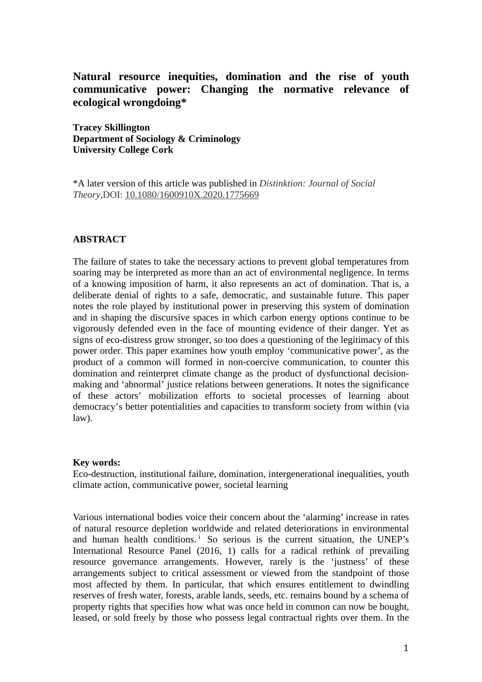# **Natural resource inequities, domination and the rise of youth communicative power: Changing the normative relevance of ecological wrongdoing\***

**Tracey Skillington Department of Sociology & Criminology University College Cork**

\*A later version of this article was published in *Distinktion: Journal of Social Theory*,DOI: [10.1080/1600910X.2020.1775669](https://doi.org/10.1080/1600910X.2020.1775669)

# **ABSTRACT**

The failure of states to take the necessary actions to prevent global temperatures from soaring may be interpreted as more than an act of environmental negligence. In terms of a knowing imposition of harm, it also represents an act of domination. That is, a deliberate denial of rights to a safe, democratic, and sustainable future. This paper notes the role played by institutional power in preserving this system of domination and in shaping the discursive spaces in which carbon energy options continue to be vigorously defended even in the face of mounting evidence of their danger. Yet as signs of eco-distress grow stronger, so too does a questioning of the legitimacy of this power order. This paper examines how youth employ 'communicative power', as the product of a common will formed in non-coercive communication, to counter this domination and reinterpret climate change as the product of dysfunctional decisionmaking and 'abnormal' justice relations between generations. It notes the significance of these actors' mobilization efforts to societal processes of learning about democracy's better potentialities and capacities to transform society from within (via law).

#### **Key words:**

Eco-destruction, institutional failure, domination, intergenerational inequalities, youth climate action, communicative power, societal learning

Various international bodies voice their concern about the 'alarming' increase in rates of natural resource depletion worldwide and related deteriorations in environmental and human health cond[i](#page-26-0)tions.<sup>1</sup> So serious is the current situation, the UNEP's International Resource Panel (2016, 1) calls for a radical rethink of prevailing resource governance arrangements. However, rarely is the 'justness' of these arrangements subject to critical assessment or viewed from the standpoint of those most affected by them. In particular, that which ensures entitlement to dwindling reserves of fresh water, forests, arable lands, seeds, etc. remains bound by a schema of property rights that specifies how what was once held in common can now be bought, leased, or sold freely by those who possess legal contractual rights over them. In the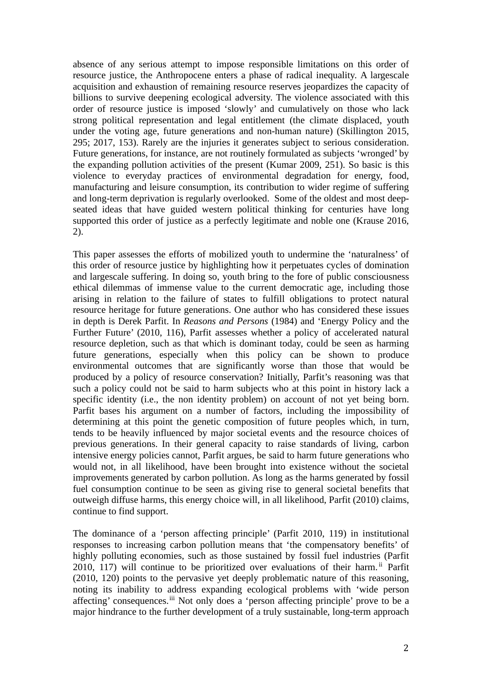absence of any serious attempt to impose responsible limitations on this order of resource justice, the Anthropocene enters a phase of radical inequality. A largescale acquisition and exhaustion of remaining resource reserves jeopardizes the capacity of billions to survive deepening ecological adversity. The violence associated with this order of resource justice is imposed 'slowly' and cumulatively on those who lack strong political representation and legal entitlement (the climate displaced, youth under the voting age, future generations and non-human nature) (Skillington 2015, 295; 2017, 153). Rarely are the injuries it generates subject to serious consideration. Future generations, for instance, are not routinely formulated as subjects 'wronged' by the expanding pollution activities of the present (Kumar 2009, 251). So basic is this violence to everyday practices of environmental degradation for energy, food, manufacturing and leisure consumption, its contribution to wider regime of suffering and long-term deprivation is regularly overlooked. Some of the oldest and most deepseated ideas that have guided western political thinking for centuries have long supported this order of justice as a perfectly legitimate and noble one (Krause 2016, 2).

This paper assesses the efforts of mobilized youth to undermine the 'naturalness' of this order of resource justice by highlighting how it perpetuates cycles of domination and largescale suffering. In doing so, youth bring to the fore of public consciousness ethical dilemmas of immense value to the current democratic age, including those arising in relation to the failure of states to fulfill obligations to protect natural resource heritage for future generations. One author who has considered these issues in depth is Derek Parfit. In *Reasons and Persons* (1984) and 'Energy Policy and the Further Future' (2010, 116), Parfit assesses whether a policy of accelerated natural resource depletion, such as that which is dominant today, could be seen as harming future generations, especially when this policy can be shown to produce environmental outcomes that are significantly worse than those that would be produced by a policy of resource conservation? Initially, Parfit's reasoning was that such a policy could not be said to harm subjects who at this point in history lack a specific identity (i.e., the non identity problem) on account of not yet being born. Parfit bases his argument on a number of factors, including the impossibility of determining at this point the genetic composition of future peoples which, in turn, tends to be heavily influenced by major societal events and the resource choices of previous generations. In their general capacity to raise standards of living, carbon intensive energy policies cannot, Parfit argues, be said to harm future generations who would not, in all likelihood, have been brought into existence without the societal improvements generated by carbon pollution. As long as the harms generated by fossil fuel consumption continue to be seen as giving rise to general societal benefits that outweigh diffuse harms, this energy choice will, in all likelihood, Parfit (2010) claims, continue to find support.

The dominance of a 'person affecting principle' (Parfit 2010, 119) in institutional responses to increasing carbon pollution means that 'the compensatory benefits' of highly polluting economies, such as those sustained by fossil fuel industries (Parfit 2010, 117) will continue to be prioritized over evaluations of their harm.<sup>[ii](#page-26-1)</sup> Parfit (2010, 120) points to the pervasive yet deeply problematic nature of this reasoning, noting its inability to address expanding ecological problems with 'wide person affecting' consequences.<sup>[iii](#page-26-2)</sup> Not only does a 'person affecting principle' prove to be a major hindrance to the further development of a truly sustainable, long-term approach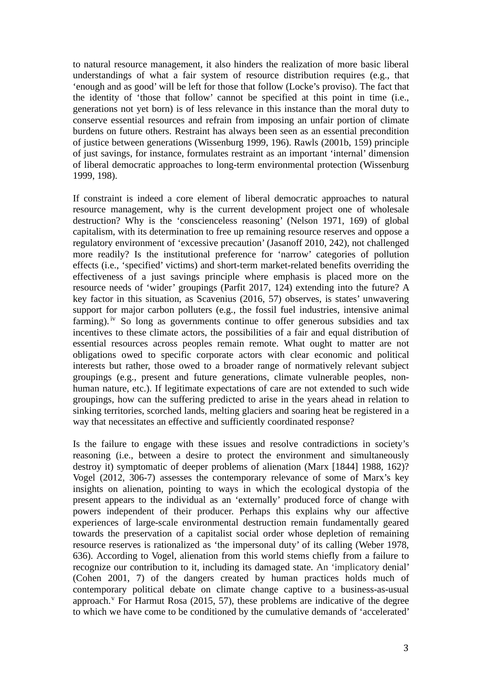to natural resource management, it also hinders the realization of more basic liberal understandings of what a fair system of resource distribution requires (e.g., that 'enough and as good' will be left for those that follow (Locke's proviso). The fact that the identity of 'those that follow' cannot be specified at this point in time (i.e., generations not yet born) is of less relevance in this instance than the moral duty to conserve essential resources and refrain from imposing an unfair portion of climate burdens on future others. Restraint has always been seen as an essential precondition of justice between generations (Wissenburg 1999, 196). Rawls (2001b, 159) principle of just savings, for instance, formulates restraint as an important 'internal' dimension of liberal democratic approaches to long-term environmental protection (Wissenburg 1999, 198).

If constraint is indeed a core element of liberal democratic approaches to natural resource management, why is the current development project one of wholesale destruction? Why is the 'conscienceless reasoning' (Nelson 1971, 169) of global capitalism, with its determination to free up remaining resource reserves and oppose a regulatory environment of 'excessive precaution' (Jasanoff 2010, 242), not challenged more readily? Is the institutional preference for 'narrow' categories of pollution effects (i.e., 'specified' victims) and short-term market-related benefits overriding the effectiveness of a just savings principle where emphasis is placed more on the resource needs of 'wider' groupings (Parfit 2017, 124) extending into the future? A key factor in this situation, as Scavenius (2016, 57) observes, is states' unwavering support for major carbon polluters (e.g., the fossil fuel industries, intensive animal farming). <sup>[iv](#page-27-0)</sup> So long as governments continue to offer generous subsidies and tax incentives to these climate actors, the possibilities of a fair and equal distribution of essential resources across peoples remain remote. What ought to matter are not obligations owed to specific corporate actors with clear economic and political interests but rather, those owed to a broader range of normatively relevant subject groupings (e.g., present and future generations, climate vulnerable peoples, nonhuman nature, etc.). If legitimate expectations of care are not extended to such wide groupings, how can the suffering predicted to arise in the years ahead in relation to sinking territories, scorched lands, melting glaciers and soaring heat be registered in a way that necessitates an effective and sufficiently coordinated response?

Is the failure to engage with these issues and resolve contradictions in society's reasoning (i.e., between a desire to protect the environment and simultaneously destroy it) symptomatic of deeper problems of alienation (Marx [1844] 1988, 162)? Vogel (2012, 306-7) assesses the contemporary relevance of some of Marx's key insights on alienation, pointing to ways in which the ecological dystopia of the present appears to the individual as an 'externally' produced force of change with powers independent of their producer. Perhaps this explains why our affective experiences of large-scale environmental destruction remain fundamentally geared towards the preservation of a capitalist social order whose depletion of remaining resource reserves is rationalized as 'the impersonal duty' of its calling (Weber 1978, 636). According to Vogel, alienation from this world stems chiefly from a failure to recognize our contribution to it, including its damaged state. An 'implicatory denial' (Cohen 2001, 7) of the dangers created by human practices holds much of contemporary political debate on climate change captive to a business-as-usual approach.<sup>[v](#page-27-1)</sup> For Harmut Rosa (2015, 57), these problems are indicative of the degree to which we have come to be conditioned by the cumulative demands of 'accelerated'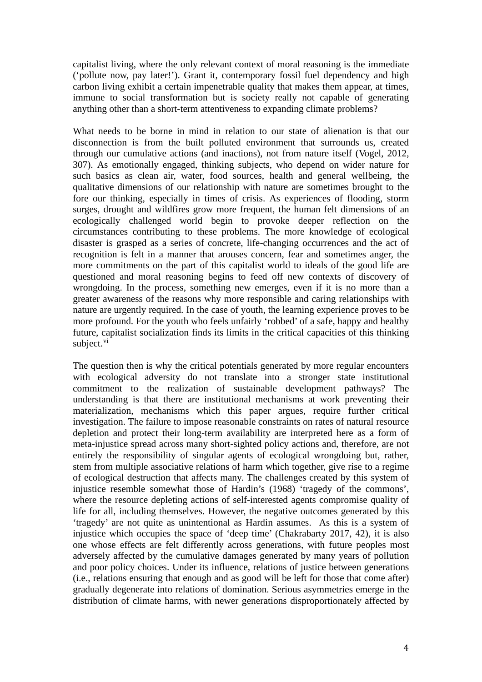capitalist living, where the only relevant context of moral reasoning is the immediate ('pollute now, pay later!'). Grant it, contemporary fossil fuel dependency and high carbon living exhibit a certain impenetrable quality that makes them appear, at times, immune to social transformation but is society really not capable of generating anything other than a short-term attentiveness to expanding climate problems?

What needs to be borne in mind in relation to our state of alienation is that our disconnection is from the built polluted environment that surrounds us, created through our cumulative actions (and inactions), not from nature itself (Vogel, 2012, 307). As emotionally engaged, thinking subjects, who depend on wider nature for such basics as clean air, water, food sources, health and general wellbeing, the qualitative dimensions of our relationship with nature are sometimes brought to the fore our thinking, especially in times of crisis. As experiences of flooding, storm surges, drought and wildfires grow more frequent, the human felt dimensions of an ecologically challenged world begin to provoke deeper reflection on the circumstances contributing to these problems. The more knowledge of ecological disaster is grasped as a series of concrete, life-changing occurrences and the act of recognition is felt in a manner that arouses concern, fear and sometimes anger, the more commitments on the part of this capitalist world to ideals of the good life are questioned and moral reasoning begins to feed off new contexts of discovery of wrongdoing. In the process, something new emerges, even if it is no more than a greater awareness of the reasons why more responsible and caring relationships with nature are urgently required. In the case of youth, the learning experience proves to be more profound. For the youth who feels unfairly 'robbed' of a safe, happy and healthy future, capitalist socialization finds its limits in the critical capacities of this thinking subject.<sup>[vi](#page-27-2)</sup>

The question then is why the critical potentials generated by more regular encounters with ecological adversity do not translate into a stronger state institutional commitment to the realization of sustainable development pathways? The understanding is that there are institutional mechanisms at work preventing their materialization, mechanisms which this paper argues, require further critical investigation. The failure to impose reasonable constraints on rates of natural resource depletion and protect their long-term availability are interpreted here as a form of meta-injustice spread across many short-sighted policy actions and, therefore, are not entirely the responsibility of singular agents of ecological wrongdoing but, rather, stem from multiple associative relations of harm which together, give rise to a regime of ecological destruction that affects many. The challenges created by this system of injustice resemble somewhat those of Hardin's (1968) 'tragedy of the commons', where the resource depleting actions of self-interested agents compromise quality of life for all, including themselves. However, the negative outcomes generated by this 'tragedy' are not quite as unintentional as Hardin assumes. As this is a system of injustice which occupies the space of 'deep time' (Chakrabarty 2017, 42), it is also one whose effects are felt differently across generations, with future peoples most adversely affected by the cumulative damages generated by many years of pollution and poor policy choices. Under its influence, relations of justice between generations (i.e., relations ensuring that enough and as good will be left for those that come after) gradually degenerate into relations of domination. Serious asymmetries emerge in the distribution of climate harms, with newer generations disproportionately affected by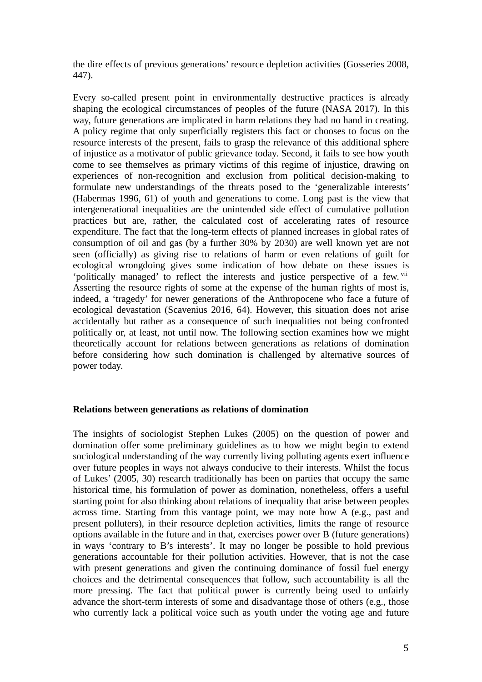the dire effects of previous generations' resource depletion activities (Gosseries 2008, 447).

Every so-called present point in environmentally destructive practices is already shaping the ecological circumstances of peoples of the future (NASA 2017). In this way, future generations are implicated in harm relations they had no hand in creating. A policy regime that only superficially registers this fact or chooses to focus on the resource interests of the present, fails to grasp the relevance of this additional sphere of injustice as a motivator of public grievance today. Second, it fails to see how youth come to see themselves as primary victims of this regime of injustice, drawing on experiences of non-recognition and exclusion from political decision-making to formulate new understandings of the threats posed to the 'generalizable interests' (Habermas 1996, 61) of youth and generations to come. Long past is the view that intergenerational inequalities are the unintended side effect of cumulative pollution practices but are, rather, the calculated cost of accelerating rates of resource expenditure. The fact that the long-term effects of planned increases in global rates of consumption of oil and gas (by a further 30% by 2030) are well known yet are not seen (officially) as giving rise to relations of harm or even relations of guilt for ecological wrongdoing gives some indication of how debate on these issues is 'politically managed' to reflect the interests and justice perspective of a few. Vii Asserting the resource rights of some at the expense of the human rights of most is, indeed, a 'tragedy' for newer generations of the Anthropocene who face a future of ecological devastation (Scavenius 2016, 64). However, this situation does not arise accidentally but rather as a consequence of such inequalities not being confronted politically or, at least, not until now. The following section examines how we might theoretically account for relations between generations as relations of domination before considering how such domination is challenged by alternative sources of power today.

## **Relations between generations as relations of domination**

The insights of sociologist Stephen Lukes (2005) on the question of power and domination offer some preliminary guidelines as to how we might begin to extend sociological understanding of the way currently living polluting agents exert influence over future peoples in ways not always conducive to their interests. Whilst the focus of Lukes' (2005, 30) research traditionally has been on parties that occupy the same historical time, his formulation of power as domination, nonetheless, offers a useful starting point for also thinking about relations of inequality that arise between peoples across time. Starting from this vantage point, we may note how A (e.g., past and present polluters), in their resource depletion activities, limits the range of resource options available in the future and in that, exercises power over B (future generations) in ways 'contrary to B's interests'. It may no longer be possible to hold previous generations accountable for their pollution activities. However, that is not the case with present generations and given the continuing dominance of fossil fuel energy choices and the detrimental consequences that follow, such accountability is all the more pressing. The fact that political power is currently being used to unfairly advance the short-term interests of some and disadvantage those of others (e.g., those who currently lack a political voice such as youth under the voting age and future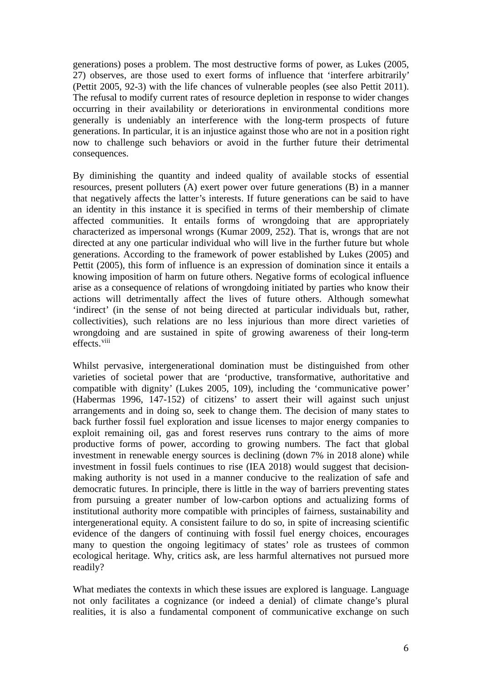generations) poses a problem. The most destructive forms of power, as Lukes (2005, 27) observes, are those used to exert forms of influence that 'interfere arbitrarily' (Pettit 2005, 92-3) with the life chances of vulnerable peoples (see also Pettit 2011). The refusal to modify current rates of resource depletion in response to wider changes occurring in their availability or deteriorations in environmental conditions more generally is undeniably an interference with the long-term prospects of future generations. In particular, it is an injustice against those who are not in a position right now to challenge such behaviors or avoid in the further future their detrimental consequences.

By diminishing the quantity and indeed quality of available stocks of essential resources, present polluters (A) exert power over future generations (B) in a manner that negatively affects the latter's interests. If future generations can be said to have an identity in this instance it is specified in terms of their membership of climate affected communities. It entails forms of wrongdoing that are appropriately characterized as impersonal wrongs (Kumar 2009, 252). That is, wrongs that are not directed at any one particular individual who will live in the further future but whole generations. According to the framework of power established by Lukes (2005) and Pettit (2005), this form of influence is an expression of domination since it entails a knowing imposition of harm on future others. Negative forms of ecological influence arise as a consequence of relations of wrongdoing initiated by parties who know their actions will detrimentally affect the lives of future others. Although somewhat 'indirect' (in the sense of not being directed at particular individuals but, rather, collectivities), such relations are no less injurious than more direct varieties of wrongdoing and are sustained in spite of growing awareness of their long-term effects.<sup>[viii](#page-27-4)</sup>

Whilst pervasive, intergenerational domination must be distinguished from other varieties of societal power that are 'productive, transformative, authoritative and compatible with dignity' (Lukes 2005, 109), including the 'communicative power' (Habermas 1996, 147-152) of citizens' to assert their will against such unjust arrangements and in doing so, seek to change them. The decision of many states to back further fossil fuel exploration and issue licenses to major energy companies to exploit remaining oil, gas and forest reserves runs contrary to the aims of more productive forms of power, according to growing numbers. The fact that global investment in renewable energy sources is declining (down 7% in 2018 alone) while investment in fossil fuels continues to rise (IEA 2018) would suggest that decisionmaking authority is not used in a manner conducive to the realization of safe and democratic futures. In principle, there is little in the way of barriers preventing states from pursuing a greater number of low-carbon options and actualizing forms of institutional authority more compatible with principles of fairness, sustainability and intergenerational equity. A consistent failure to do so, in spite of increasing scientific evidence of the dangers of continuing with fossil fuel energy choices, encourages many to question the ongoing legitimacy of states' role as trustees of common ecological heritage. Why, critics ask, are less harmful alternatives not pursued more readily?

What mediates the contexts in which these issues are explored is language. Language not only facilitates a cognizance (or indeed a denial) of climate change's plural realities, it is also a fundamental component of communicative exchange on such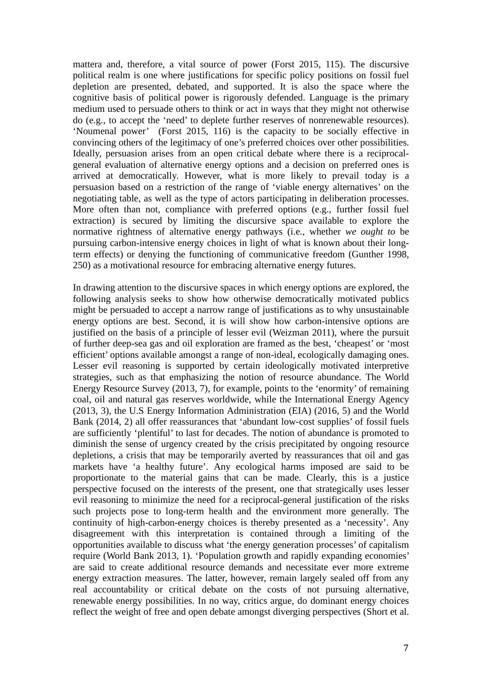mattera and, therefore, a vital source of power (Forst 2015, 115). The discursive political realm is one where justifications for specific policy positions on fossil fuel depletion are presented, debated, and supported. It is also the space where the cognitive basis of political power is rigorously defended. Language is the primary medium used to persuade others to think or act in ways that they might not otherwise do (e.g., to accept the 'need' to deplete further reserves of nonrenewable resources). 'Noumenal power' (Forst 2015, 116) is the capacity to be socially effective in convincing others of the legitimacy of one's preferred choices over other possibilities. Ideally, persuasion arises from an open critical debate where there is a reciprocalgeneral evaluation of alternative energy options and a decision on preferred ones is arrived at democratically. However, what is more likely to prevail today is a persuasion based on a restriction of the range of 'viable energy alternatives' on the negotiating table, as well as the type of actors participating in deliberation processes. More often than not, compliance with preferred options (e.g., further fossil fuel extraction) is secured by limiting the discursive space available to explore the normative rightness of alternative energy pathways (i.e., whether *we ought to* be pursuing carbon-intensive energy choices in light of what is known about their longterm effects) or denying the functioning of communicative freedom (Gunther 1998, 250) as a motivational resource for embracing alternative energy futures.

In drawing attention to the discursive spaces in which energy options are explored, the following analysis seeks to show how otherwise democratically motivated publics might be persuaded to accept a narrow range of justifications as to why unsustainable energy options are best. Second, it is will show how carbon-intensive options are justified on the basis of a principle of lesser evil (Weizman 2011), where the pursuit of further deep-sea gas and oil exploration are framed as the best, 'cheapest' or 'most efficient' options available amongst a range of non-ideal, ecologically damaging ones. Lesser evil reasoning is supported by certain ideologically motivated interpretive strategies, such as that emphasizing the notion of resource abundance. The World Energy Resource Survey (2013, 7), for example, points to the 'enormity' of remaining coal, oil and natural gas reserves worldwide, while the International Energy Agency (2013, 3), the U.S Energy Information Administration (EIA) (2016, 5) and the World Bank (2014, 2) all offer reassurances that 'abundant low-cost supplies' of fossil fuels are sufficiently 'plentiful' to last for decades. The notion of abundance is promoted to diminish the sense of urgency created by the crisis precipitated by ongoing resource depletions, a crisis that may be temporarily averted by reassurances that oil and gas markets have 'a healthy future'. Any ecological harms imposed are said to be proportionate to the material gains that can be made. Clearly, this is a justice perspective focused on the interests of the present, one that strategically uses lesser evil reasoning to minimize the need for a reciprocal-general justification of the risks such projects pose to long-term health and the environment more generally. The continuity of high-carbon-energy choices is thereby presented as a 'necessity'. Any disagreement with this interpretation is contained through a limiting of the opportunities available to discuss what 'the energy generation processes' of capitalism require (World Bank 2013, 1). 'Population growth and rapidly expanding economies' are said to create additional resource demands and necessitate ever more extreme energy extraction measures. The latter, however, remain largely sealed off from any real accountability or critical debate on the costs of not pursuing alternative, renewable energy possibilities. In no way, critics argue, do dominant energy choices reflect the weight of free and open debate amongst diverging perspectives (Short et al.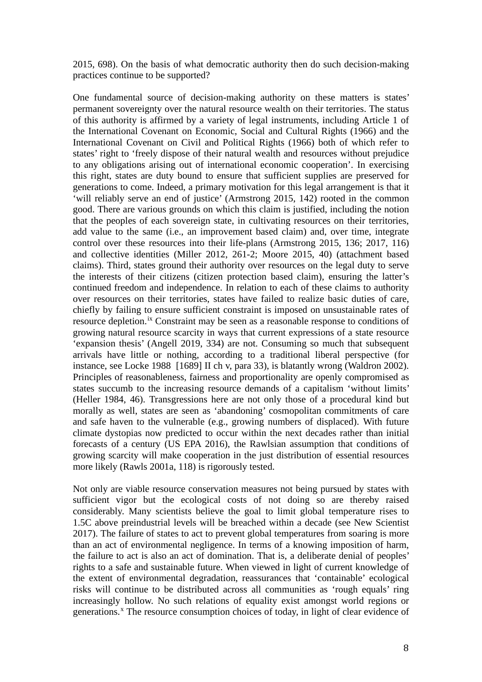2015, 698). On the basis of what democratic authority then do such decision-making practices continue to be supported?

One fundamental source of decision-making authority on these matters is states' permanent sovereignty over the natural resource wealth on their territories. The status of this authority is affirmed by a variety of legal instruments, including Article 1 of the International Covenant on Economic, Social and Cultural Rights (1966) and the International Covenant on Civil and Political Rights (1966) both of which refer to states' right to 'freely dispose of their natural wealth and resources without prejudice to any obligations arising out of international economic cooperation'. In exercising this right, states are duty bound to ensure that sufficient supplies are preserved for generations to come. Indeed, a primary motivation for this legal arrangement is that it 'will reliably serve an end of justice' (Armstrong 2015, 142) rooted in the common good. There are various grounds on which this claim is justified, including the notion that the peoples of each sovereign state, in cultivating resources on their territories, add value to the same (i.e., an improvement based claim) and, over time, integrate control over these resources into their life-plans (Armstrong 2015, 136; 2017, 116) and collective identities (Miller 2012, 261-2; Moore 2015, 40) (attachment based claims). Third, states ground their authority over resources on the legal duty to serve the interests of their citizens (citizen protection based claim), ensuring the latter's continued freedom and independence. In relation to each of these claims to authority over resources on their territories, states have failed to realize basic duties of care, chiefly by failing to ensure sufficient constraint is imposed on unsustainable rates of resource depletion.<sup>[ix](#page-27-5)</sup> Constraint may be seen as a reasonable response to conditions of growing natural resource scarcity in ways that current expressions of a state resource 'expansion thesis' (Angell 2019, 334) are not. Consuming so much that subsequent arrivals have little or nothing, according to a traditional liberal perspective (for instance, see Locke 1988 [1689] II ch v, para 33), is blatantly wrong (Waldron 2002). Principles of reasonableness, fairness and proportionality are openly compromised as states succumb to the increasing resource demands of a capitalism 'without limits' (Heller 1984, 46). Transgressions here are not only those of a procedural kind but morally as well, states are seen as 'abandoning' cosmopolitan commitments of care and safe haven to the vulnerable (e.g., growing numbers of displaced). With future climate dystopias now predicted to occur within the next decades rather than initial forecasts of a century (US EPA 2016), the Rawlsian assumption that conditions of growing scarcity will make cooperation in the just distribution of essential resources more likely (Rawls 2001a, 118) is rigorously tested.

Not only are viable resource conservation measures not being pursued by states with sufficient vigor but the ecological costs of not doing so are thereby raised considerably. Many scientists believe the goal to limit global temperature rises to 1.5C above preindustrial levels will be breached within a decade (see New Scientist 2017). The failure of states to act to prevent global temperatures from soaring is more than an act of environmental negligence. In terms of a knowing imposition of harm, the failure to act is also an act of domination. That is, a deliberate denial of peoples' rights to a safe and sustainable future. When viewed in light of current knowledge of the extent of environmental degradation, reassurances that 'containable' ecological risks will continue to be distributed across all communities as 'rough equals' ring increasingly hollow. No such relations of equality exist amongst world regions or generations.<sup>[x](#page-27-6)</sup> The resource consumption choices of today, in light of clear evidence of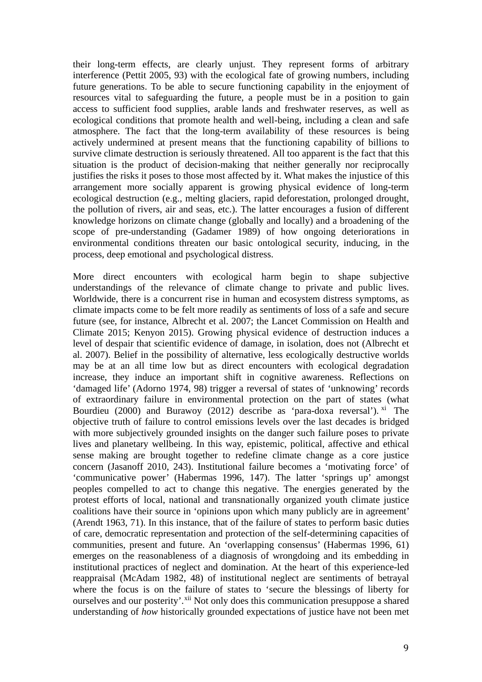their long-term effects, are clearly unjust. They represent forms of arbitrary interference (Pettit 2005, 93) with the ecological fate of growing numbers, including future generations. To be able to secure functioning capability in the enjoyment of resources vital to safeguarding the future, a people must be in a position to gain access to sufficient food supplies, arable lands and freshwater reserves, as well as ecological conditions that promote health and well-being, including a clean and safe atmosphere. The fact that the long-term availability of these resources is being actively undermined at present means that the functioning capability of billions to survive climate destruction is seriously threatened. All too apparent is the fact that this situation is the product of decision-making that neither generally nor reciprocally justifies the risks it poses to those most affected by it. What makes the injustice of this arrangement more socially apparent is growing physical evidence of long-term ecological destruction (e.g., melting glaciers, rapid deforestation, prolonged drought, the pollution of rivers, air and seas, etc.). The latter encourages a fusion of different knowledge horizons on climate change (globally and locally) and a broadening of the scope of pre-understanding (Gadamer 1989) of how ongoing deteriorations in environmental conditions threaten our basic ontological security, inducing, in the process, deep emotional and psychological distress.

More direct encounters with ecological harm begin to shape subjective understandings of the relevance of climate change to private and public lives. Worldwide, there is a concurrent rise in human and ecosystem distress symptoms, as climate impacts come to be felt more readily as sentiments of loss of a safe and secure future (see, for instance, Albrecht et al. 2007; the Lancet Commission on Health and Climate 2015; Kenyon 2015). Growing physical evidence of destruction induces a level of despair that scientific evidence of damage, in isolation, does not (Albrecht et al. 2007). Belief in the possibility of alternative, less ecologically destructive worlds may be at an all time low but as direct encounters with ecological degradation increase, they induce an important shift in cognitive awareness. Reflections on 'damaged life' (Adorno 1974, 98) trigger a reversal of states of 'unknowing' records of extraordinary failure in environmental protection on the part of states (what Bourdieu (2000) and Burawoy (2012) describe as 'para-doxa reversal').  $xi$  The objective truth of failure to control emissions levels over the last decades is bridged with more subjectively grounded insights on the danger such failure poses to private lives and planetary wellbeing. In this way, epistemic, political, affective and ethical sense making are brought together to redefine climate change as a core justice concern (Jasanoff 2010, 243). Institutional failure becomes a 'motivating force' of 'communicative power' (Habermas 1996, 147). The latter 'springs up' amongst peoples compelled to act to change this negative. The energies generated by the protest efforts of local, national and transnationally organized youth climate justice coalitions have their source in 'opinions upon which many publicly are in agreement' (Arendt 1963, 71). In this instance, that of the failure of states to perform basic duties of care, democratic representation and protection of the self-determining capacities of communities, present and future. An 'overlapping consensus' (Habermas 1996, 61) emerges on the reasonableness of a diagnosis of wrongdoing and its embedding in institutional practices of neglect and domination. At the heart of this experience-led reappraisal (McAdam 1982, 48) of institutional neglect are sentiments of betrayal where the focus is on the failure of states to 'secure the blessings of liberty for ourselves and our posterity'.<sup>[xii](#page-27-8)</sup> Not only does this communication presuppose a shared understanding of *how* historically grounded expectations of justice have not been met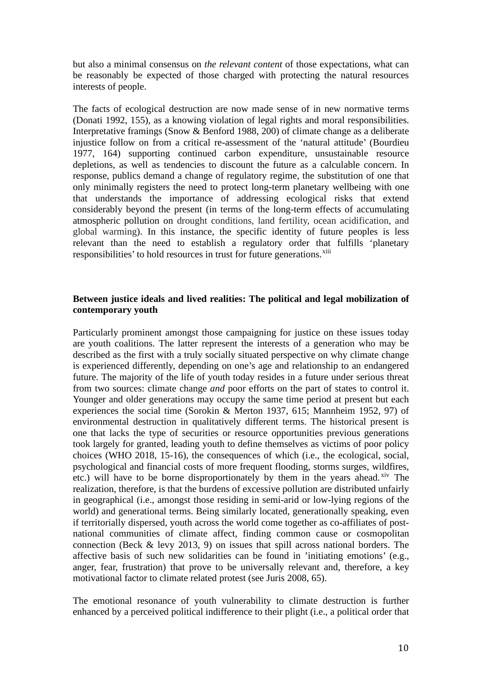but also a minimal consensus on *the relevant content* of those expectations, what can be reasonably be expected of those charged with protecting the natural resources interests of people.

The facts of ecological destruction are now made sense of in new normative terms (Donati 1992, 155), as a knowing violation of legal rights and moral responsibilities. Interpretative framings (Snow & Benford 1988, 200) of climate change as a deliberate injustice follow on from a critical re-assessment of the 'natural attitude' (Bourdieu 1977, 164) supporting continued carbon expenditure, unsustainable resource depletions, as well as tendencies to discount the future as a calculable concern. In response, publics demand a change of regulatory regime, the substitution of one that only minimally registers the need to protect long-term planetary wellbeing with one that understands the importance of addressing ecological risks that extend considerably beyond the present (in terms of the long-term effects of accumulating atmospheric pollution on drought conditions, land fertility, ocean acidification, and global warming). In this instance, the specific identity of future peoples is less relevant than the need to establish a regulatory order that fulfills 'planetary responsibilities' to hold resources in trust for future generations.<sup>[xiii](#page-27-9)</sup>

# **Between justice ideals and lived realities: The political and legal mobilization of contemporary youth**

Particularly prominent amongst those campaigning for justice on these issues today are youth coalitions. The latter represent the interests of a generation who may be described as the first with a truly socially situated perspective on why climate change is experienced differently, depending on one's age and relationship to an endangered future. The majority of the life of youth today resides in a future under serious threat from two sources: climate change *and* poor efforts on the part of states to control it. Younger and older generations may occupy the same time period at present but each experiences the social time (Sorokin & Merton 1937, 615; Mannheim 1952, 97) of environmental destruction in qualitatively different terms. The historical present is one that lacks the type of securities or resource opportunities previous generations took largely for granted, leading youth to define themselves as victims of poor policy choices (WHO 2018, 15-16), the consequences of which (i.e., the ecological, social, psychological and financial costs of more frequent flooding, storms surges, wildfires, etc.) will have to be borne disproportionately by them in the years ahead. Xiv The realization, therefore, is that the burdens of excessive pollution are distributed unfairly in geographical (i.e., amongst those residing in semi-arid or low-lying regions of the world) and generational terms. Being similarly located, generationally speaking, even if territorially dispersed, youth across the world come together as co-affiliates of postnational communities of climate affect, finding common cause or cosmopolitan connection (Beck & levy 2013, 9) on issues that spill across national borders. The affective basis of such new solidarities can be found in 'initiating emotions' (e.g., anger, fear, frustration) that prove to be universally relevant and, therefore, a key motivational factor to climate related protest (see Juris 2008, 65).

The emotional resonance of youth vulnerability to climate destruction is further enhanced by a perceived political indifference to their plight (i.e., a political order that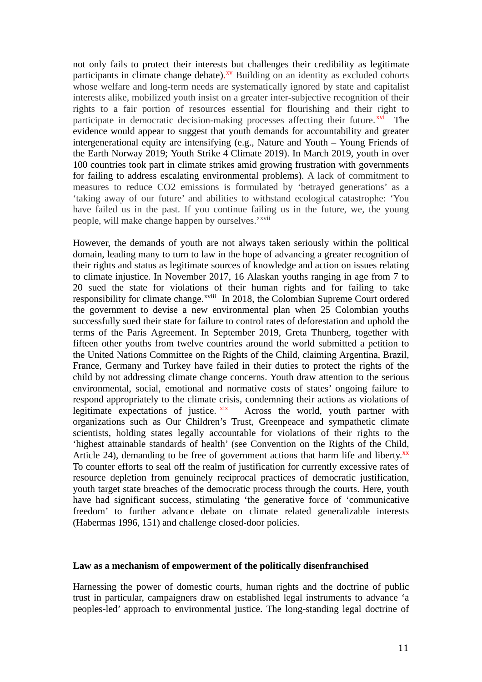not only fails to protect their interests but challenges their credibility as legitimate participants in climate change debate).<sup>[xv](#page-27-11)</sup> Building on an identity as excluded cohorts whose welfare and long-term needs are systematically ignored by state and capitalist interests alike, mobilized youth insist on a greater inter-subjective recognition of their rights to a fair portion of resources essential for flourishing and their right to participate in democratic decision-making processes affecting their future.<sup>[xvi](#page-27-12)</sup> The evidence would appear to suggest that youth demands for accountability and greater intergenerational equity are intensifying (e.g., Nature and Youth – Young Friends of the Earth Norway 2019; Youth Strike 4 Climate 2019). In March 2019, youth in over 100 countries took part in climate strikes amid growing frustration with governments for failing to address escalating environmental problems). A lack of commitment to measures to reduce CO2 emissions is formulated by 'betrayed generations' as a 'taking away of our future' and abilities to withstand ecological catastrophe: 'You have failed us in the past. If you continue failing us in the future, we, the young people, will make change happen by ourselves.'<sup>xvii</sup>

However, the demands of youth are not always taken seriously within the political domain, leading many to turn to law in the hope of advancing a greater recognition of their rights and status as legitimate sources of knowledge and action on issues relating to climate injustice. In November 2017, 16 Alaskan youths ranging in age from 7 to 20 sued the state for violations [o](#page-28-0)f their human rights and for failing to take responsibility for climate change.<sup>xviii</sup> In 2018, the Colombian Supreme Court ordered the government to devise a new environmental plan when 25 Colombian youths successfully sued their state for failure to control rates of deforestation and uphold the terms of the Paris Agreement. In September 2019, Greta Thunberg, together with fifteen other youths from twelve countries around the world submitted a petition to the United Nations Committee on the Rights of the Child, claiming Argentina, Brazil, France, Germany and Turkey have failed in their duties to protect the rights of the child by not addressing climate change concerns. Youth draw attention to the serious environmental, social, emotional and normative costs of states' ongoing failure to respond appropriately to the climate crisis, condemning their actions as violations of legitimate expectations of justice. **xix** Across the world, youth partner with Across the world, youth partner with organizations such as Our Children's Trust, Greenpeace and sympathetic climate scientists, holding states legally accountable for violations of their rights to the 'highest attainable standards of health' (see Convention on the Rights of the Child, Article 24), demanding to be free of government actions that harm life and liberty.<sup>[xx](#page-28-2)</sup> To counter efforts to seal off the realm of justification for currently excessive rates of resource depletion from genuinely reciprocal practices of democratic justification, youth target state breaches of the democratic process through the courts. Here, youth have had significant success, stimulating 'the generative force of 'communicative freedom' to further advance debate on climate related generalizable interests (Habermas 1996, 151) and challenge closed-door policies.

#### **Law as a mechanism of empowerment of the politically disenfranchised**

Harnessing the power of domestic courts, human rights and the doctrine of public trust in particular, campaigners draw on established legal instruments to advance 'a peoples-led' approach to environmental justice. The long-standing legal doctrine of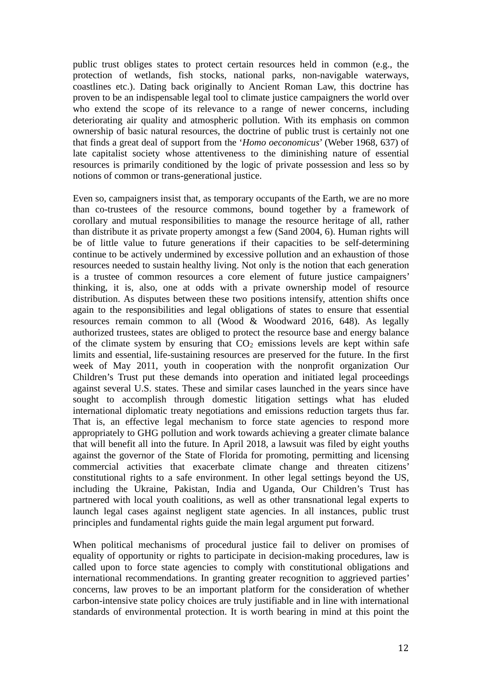public trust obliges states to protect certain resources held in common (e.g., the protection of wetlands, fish stocks, national parks, non-navigable waterways, coastlines etc.). Dating back originally to Ancient Roman Law, this doctrine has proven to be an indispensable legal tool to climate justice campaigners the world over who extend the scope of its relevance to a range of newer concerns, including deteriorating air quality and atmospheric pollution. With its emphasis on common ownership of basic natural resources, the doctrine of public trust is certainly not one that finds a great deal of support from the '*Homo oeconomicus*' (Weber 1968, 637) of late capitalist society whose attentiveness to the diminishing nature of essential resources is primarily conditioned by the logic of private possession and less so by notions of common or trans-generational justice.

Even so, campaigners insist that, as temporary occupants of the Earth, we are no more than co-trustees of the resource commons, bound together by a framework of corollary and mutual responsibilities to manage the resource heritage of all, rather than distribute it as private property amongst a few (Sand 2004, 6). Human rights will be of little value to future generations if their capacities to be self-determining continue to be actively undermined by excessive pollution and an exhaustion of those resources needed to sustain healthy living. Not only is the notion that each generation is a trustee of common resources a core element of future justice campaigners' thinking, it is, also, one at odds with a private ownership model of resource distribution. As disputes between these two positions intensify, attention shifts once again to the responsibilities and legal obligations of states to ensure that essential resources remain common to all (Wood & Woodward 2016, 648). As legally authorized trustees, states are obliged to protect the resource base and energy balance of the climate system by ensuring that  $CO<sub>2</sub>$  emissions levels are kept within safe limits and essential, life-sustaining resources are preserved for the future. In the first week of May 2011, youth in cooperation with the nonprofit organization Our Children's Trust put these demands into operation and initiated legal proceedings against several U.S. states. These and similar cases launched in the years since have sought to accomplish through domestic litigation settings what has eluded international diplomatic treaty negotiations and emissions reduction targets thus far. That is, an effective legal mechanism to force state agencies to respond more appropriately to GHG pollution and work towards achieving a greater climate balance that will benefit all into the future. In April 2018, a lawsuit was filed by eight youths against the governor of the State of Florida for promoting, permitting and licensing commercial activities that exacerbate climate change and threaten citizens' constitutional rights to a safe environment. In other legal settings beyond the US, including the Ukraine, Pakistan, India and Uganda, Our Children's Trust has partnered with local youth coalitions, as well as other transnational legal experts to launch legal cases against negligent state agencies. In all instances, public trust principles and fundamental rights guide the main legal argument put forward.

When political mechanisms of procedural justice fail to deliver on promises of equality of opportunity or rights to participate in decision-making procedures, law is called upon to force state agencies to comply with constitutional obligations and international recommendations. In granting greater recognition to aggrieved parties' concerns, law proves to be an important platform for the consideration of whether carbon-intensive state policy choices are truly justifiable and in line with international standards of environmental protection. It is worth bearing in mind at this point the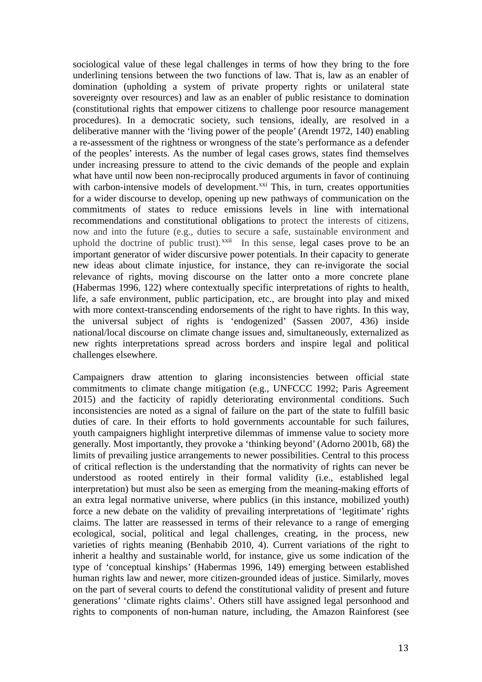sociological value of these legal challenges in terms of how they bring to the fore underlining tensions between the two functions of law. That is, law as an enabler of domination (upholding a system of private property rights or unilateral state sovereignty over resources) and law as an enabler of public resistance to domination (constitutional rights that empower citizens to challenge poor resource management procedures). In a democratic society, such tensions, ideally, are resolved in a deliberative manner with the 'living power of the people' (Arendt 1972, 140) enabling a re-assessment of the rightness or wrongness of the state's performance as a defender of the peoples' interests. As the number of legal cases grows, states find themselves under increasing pressure to attend to the civic demands of the people and explain what have until now been non-reciprocally produced arguments in favor of continuing with carbon-intensive models of development.<sup>[xxi](#page-28-3)</sup> This, in turn, creates opportunities for a wider discourse to develop, opening up new pathways of communication on the commitments of states to reduce emissions levels in line with international recommendations and constitutional obligations to protect the interests of citizens, now and into the future (e.g., duties to secure a safe, sustainable environment and uphold the doctrine of public trust).<sup>[xxii](#page-28-4)</sup> In this sense, legal cases prove to be an important generator of wider discursive power potentials. In their capacity to generate new ideas about climate injustice, for instance, they can re-invigorate the social relevance of rights, moving discourse on the latter onto a more concrete plane (Habermas 1996, 122) where contextually specific interpretations of rights to health, life, a safe environment, public participation, etc., are brought into play and mixed with more context-transcending endorsements of the right to have rights. In this way, the universal subject of rights is 'endogenized' (Sassen 2007, 436) inside national/local discourse on climate change issues and, simultaneously, externalized as new rights interpretations spread across borders and inspire legal and political challenges elsewhere.

Campaigners draw attention to glaring inconsistencies between official state commitments to climate change mitigation (e.g., UNFCCC 1992; Paris Agreement 2015) and the facticity of rapidly deteriorating environmental conditions. Such inconsistencies are noted as a signal of failure on the part of the state to fulfill basic duties of care. In their efforts to hold governments accountable for such failures, youth campaigners highlight interpretive dilemmas of immense value to society more generally. Most importantly, they provoke a 'thinking beyond' (Adorno 2001b, 68) the limits of prevailing justice arrangements to newer possibilities. Central to this process of critical reflection is the understanding that the normativity of rights can never be understood as rooted entirely in their formal validity (i.e., established legal interpretation) but must also be seen as emerging from the meaning-making efforts of an extra legal normative universe, where publics (in this instance, mobilized youth) force a new debate on the validity of prevailing interpretations of 'legitimate' rights claims. The latter are reassessed in terms of their relevance to a range of emerging ecological, social, political and legal challenges, creating, in the process, new varieties of rights meaning (Benhabib 2010, 4). Current variations of the right to inherit a healthy and sustainable world, for instance, give us some indication of the type of 'conceptual kinships' (Habermas 1996, 149) emerging between established human rights law and newer, more citizen-grounded ideas of justice. Similarly, moves on the part of several courts to defend the constitutional validity of present and future generations' 'climate rights claims'. Others still have assigned legal personhood and rights to components of non-human nature, including, the Amazon Rainforest (see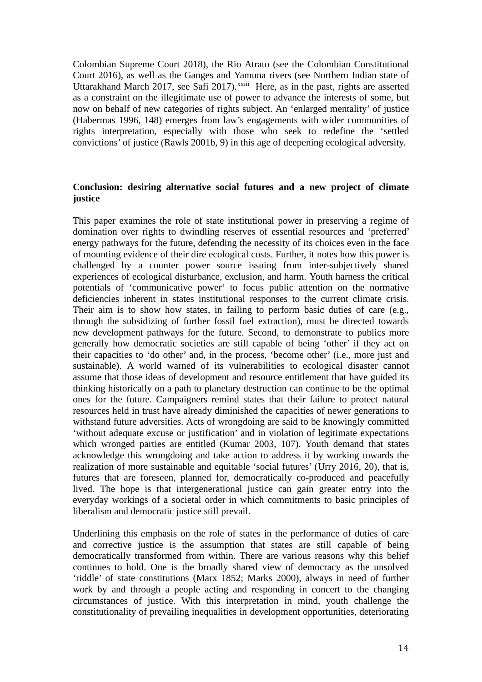Colombian Supreme Court 2018), the Rio Atrato (see the Colombian Constitutional Court 2016), as well as the Ganges and Ya[mu](#page-28-5)na rivers (see Northern Indian state of Uttarakhand March 2017, see Safi 2017).<sup>xxiii</sup> Here, as in the past, rights are asserted as a constraint on the illegitimate use of power to advance the interests of some, but now on behalf of new categories of rights subject. An 'enlarged mentality' of justice (Habermas 1996, 148) emerges from law's engagements with wider communities of rights interpretation, especially with those who seek to redefine the 'settled convictions' of justice (Rawls 2001b, 9) in this age of deepening ecological adversity.

# **Conclusion: desiring alternative social futures and a new project of climate justice**

This paper examines the role of state institutional power in preserving a regime of domination over rights to dwindling reserves of essential resources and 'preferred' energy pathways for the future, defending the necessity of its choices even in the face of mounting evidence of their dire ecological costs. Further, it notes how this power is challenged by a counter power source issuing from inter-subjectively shared experiences of ecological disturbance, exclusion, and harm. Youth harness the critical potentials of 'communicative power' to focus public attention on the normative deficiencies inherent in states institutional responses to the current climate crisis. Their aim is to show how states, in failing to perform basic duties of care (e.g., through the subsidizing of further fossil fuel extraction), must be directed towards new development pathways for the future. Second, to demonstrate to publics more generally how democratic societies are still capable of being 'other' if they act on their capacities to 'do other' and, in the process, 'become other' (i.e., more just and sustainable). A world warned of its vulnerabilities to ecological disaster cannot assume that those ideas of development and resource entitlement that have guided its thinking historically on a path to planetary destruction can continue to be the optimal ones for the future. Campaigners remind states that their failure to protect natural resources held in trust have already diminished the capacities of newer generations to withstand future adversities. Acts of wrongdoing are said to be knowingly committed 'without adequate excuse or justification' and in violation of legitimate expectations which wronged parties are entitled (Kumar 2003, 107). Youth demand that states acknowledge this wrongdoing and take action to address it by working towards the realization of more sustainable and equitable 'social futures' (Urry 2016, 20), that is, futures that are foreseen, planned for, democratically co-produced and peacefully lived. The hope is that intergenerational justice can gain greater entry into the everyday workings of a societal order in which commitments to basic principles of liberalism and democratic justice still prevail.

Underlining this emphasis on the role of states in the performance of duties of care and corrective justice is the assumption that states are still capable of being democratically transformed from within. There are various reasons why this belief continues to hold. One is the broadly shared view of democracy as the unsolved 'riddle' of state constitutions (Marx 1852; Marks 2000), always in need of further work by and through a people acting and responding in concert to the changing circumstances of justice. With this interpretation in mind, youth challenge the constitutionality of prevailing inequalities in development opportunities, deteriorating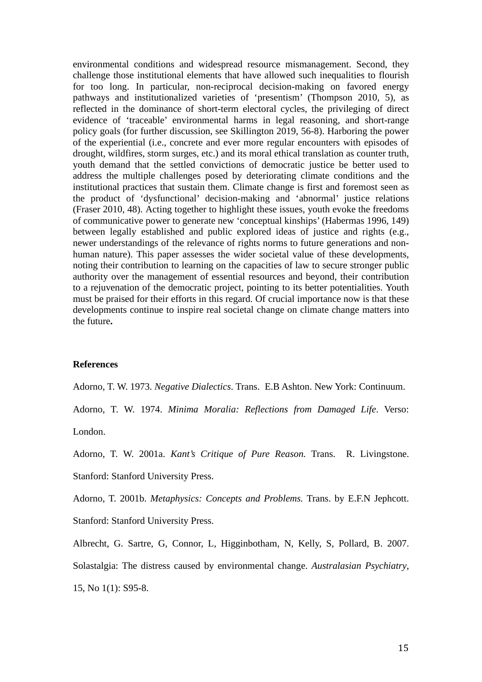environmental conditions and widespread resource mismanagement. Second, they challenge those institutional elements that have allowed such inequalities to flourish for too long. In particular, non-reciprocal decision-making on favored energy pathways and institutionalized varieties of 'presentism' (Thompson 2010, 5), as reflected in the dominance of short-term electoral cycles, the privileging of direct evidence of 'traceable' environmental harms in legal reasoning, and short-range policy goals (for further discussion, see Skillington 2019, 56-8). Harboring the power of the experiential (i.e., concrete and ever more regular encounters with episodes of drought, wildfires, storm surges, etc.) and its moral ethical translation as counter truth, youth demand that the settled convictions of democratic justice be better used to address the multiple challenges posed by deteriorating climate conditions and the institutional practices that sustain them. Climate change is first and foremost seen as the product of 'dysfunctional' decision-making and 'abnormal' justice relations (Fraser 2010, 48). Acting together to highlight these issues, youth evoke the freedoms of communicative power to generate new 'conceptual kinships' (Habermas 1996, 149) between legally established and public explored ideas of justice and rights (e.g., newer understandings of the relevance of rights norms to future generations and nonhuman nature). This paper assesses the wider societal value of these developments, noting their contribution to learning on the capacities of law to secure stronger public authority over the management of essential resources and beyond, their contribution to a rejuvenation of the democratic project, pointing to its better potentialities. Youth must be praised for their efforts in this regard. Of crucial importance now is that these developments continue to inspire real societal change on climate change matters into the future**.**

## **References**

Adorno, T. W. 1973. *Negative Dialectics*. Trans. E.B Ashton. New York: Continuum.

Adorno, T. W. 1974. *Minima Moralia: Reflections from Damaged Life*. Verso:

London.

Adorno, T. W. 2001a. *Kant's Critique of Pure Reason.* Trans. R. Livingstone.

Stanford: Stanford University Press.

Adorno, T. 2001b. *Metaphysics: Concepts and Problems.* Trans. by E.F.N Jephcott. Stanford: Stanford University Press.

Albrecht, G. Sartre, G, Connor, L, Higginbotham, N, Kelly, S, Pollard, B. 2007.

Solastalgia: The distress caused by environmental change. *Australasian Psychiatry*, 15, No 1(1): S95-8.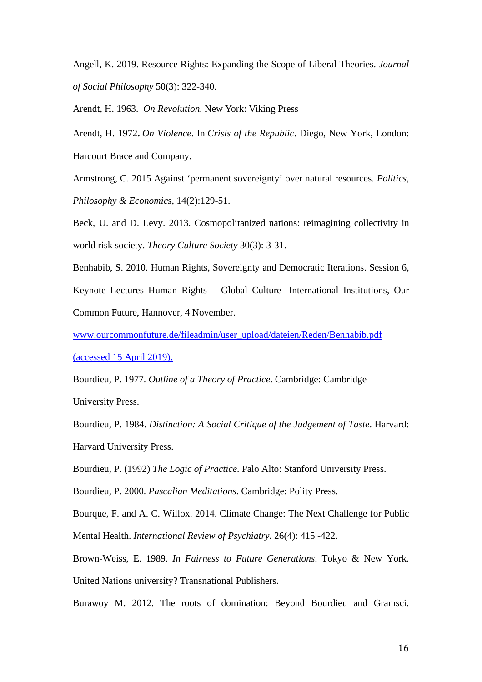Angell, K. 2019. Resource Rights: Expanding the Scope of Liberal Theories. *Journal of Social Philosophy* 50(3): 322-340.

Arendt, H. 1963. *On Revolution.* New York: Viking Press

Arendt, H. 1972**.** *On Violence*. In *Crisis of the Republic*. Diego, New York, London: Harcourt Brace and Company.

Armstrong, C. 2015 Against 'permanent sovereignty' over natural resources. *Politics, Philosophy & Economics*, 14(2):129-51.

Beck, U. and D. Levy. 2013. Cosmopolitanized nations: reimagining collectivity in world risk society. *Theory Culture Society* 30(3): 3-31.

Benhabib, S. 2010. Human Rights, Sovereignty and Democratic Iterations. Session 6, Keynote Lectures Human Rights – Global Culture- International Institutions, Our Common Future, Hannover, 4 November.

www.ourcommonfuture.de/fileadmin/user\_upload/dateien/Reden/Benhabib.pdf (accessed 15 April 2019).

Bourdieu, P. 1977. *Outline of a Theory of Practice*. Cambridge: Cambridge University Press.

Bourdieu, P. 1984. *Distinction: A Social Critique of the Judgement of Taste*. Harvard: Harvard University Press.

Bourdieu, P. (1992) *The Logic of Practice*. Palo Alto: Stanford University Press.

Bourdieu, P. 2000. *Pascalian Meditations*. Cambridge: Polity Press.

Bourque, F. and A. C. Willox. 2014. Climate Change: The Next Challenge for Public Mental Health. *International Review of Psychiatry.* 26(4): 415 -422.

Brown-Weiss, E. 1989. *In Fairness to Future Generations*. Tokyo & New York. United Nations university? Transnational Publishers.

Burawoy M. 2012. The roots of domination: Beyond Bourdieu and Gramsci.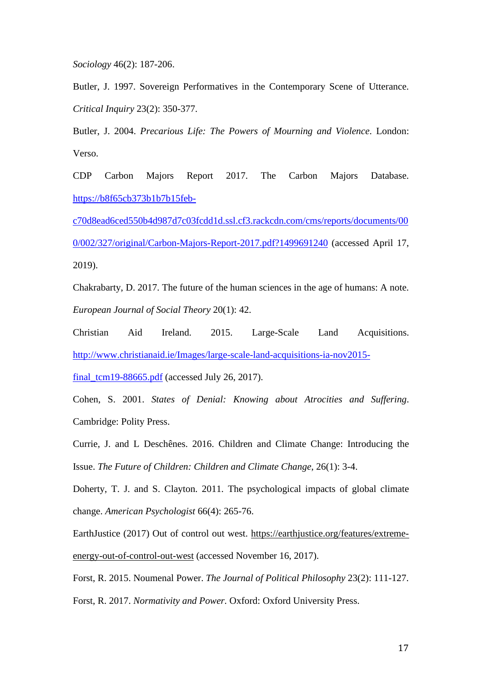*Sociology* 46(2): 187-206.

Butler, J. 1997. Sovereign Performatives in the Contemporary Scene of Utterance. *Critical Inquiry* 23(2): 350-377.

Butler, J. 2004. *Precarious Life: The Powers of Mourning and Violence*. London: Verso.

CDP Carbon Majors Report 2017. The Carbon Majors Database. [https://b8f65cb373b1b7b15feb-](https://b8f65cb373b1b7b15feb-c70d8ead6ced550b4d987d7c03fcdd1d.ssl.cf3.rackcdn.com/cms/reports/documents/000/002/327/original/Carbon-Majors-Report-2017.pdf?1499691240)

[c70d8ead6ced550b4d987d7c03fcdd1d.ssl.cf3.rackcdn.com/cms/reports/documents/00](https://b8f65cb373b1b7b15feb-c70d8ead6ced550b4d987d7c03fcdd1d.ssl.cf3.rackcdn.com/cms/reports/documents/000/002/327/original/Carbon-Majors-Report-2017.pdf?1499691240) [0/002/327/original/Carbon-Majors-Report-2017.pdf?1499691240](https://b8f65cb373b1b7b15feb-c70d8ead6ced550b4d987d7c03fcdd1d.ssl.cf3.rackcdn.com/cms/reports/documents/000/002/327/original/Carbon-Majors-Report-2017.pdf?1499691240) (accessed April 17, 2019).

Chakrabarty, D. 2017. The future of the human sciences in the age of humans: A note. *European Journal of Social Theory* 20(1): 42.

Christian Aid Ireland. 2015. Large-Scale Land Acquisitions. [http://www.christianaid.ie/Images/large-scale-land-acquisitions-ia-nov2015-](http://www.christianaid.ie/Images/large-scale-land-acquisitions-ia-nov2015-final_tcm19-88665.pdf)

final  $tcm19-88665.pdf$  (accessed July 26, 2017).

Cohen, S. 2001. *States of Denial: Knowing about Atrocities and Suffering*. Cambridge: Polity Press.

Currie, J. and L Deschênes. 2016. Children and Climate Change: Introducing the Issue. *The Future of Children: Children and Climate Change*, 26(1): 3-4.

Doherty, T. J. and S. Clayton. 2011. The psychological impacts of global climate change. *American Psychologist* 66(4): 265-76.

EarthJustice (2017) Out of control out west. [https://earthjustice.org/features/extreme](https://earthjustice.org/features/extreme-energy-out-of-control-out-west)[energy-out-of-control-out-west](https://earthjustice.org/features/extreme-energy-out-of-control-out-west) (accessed November 16, 2017).

Forst, R. 2015. Noumenal Power. *The Journal of Political Philosophy* 23(2): 111-127. Forst, R. 2017. *Normativity and Power.* Oxford: Oxford University Press.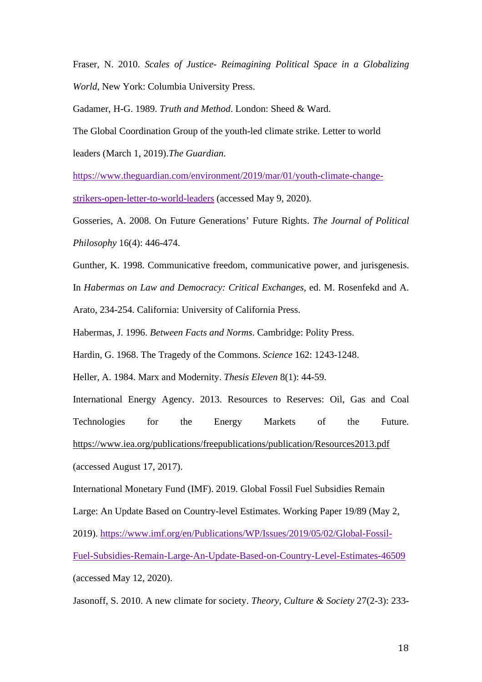Fraser, N. 2010. *Scales of Justice- Reimagining Political Space in a Globalizing World*, New York: Columbia University Press.

Gadamer, H-G. 1989. *Truth and Method*. London: Sheed & Ward.

The Global Coordination Group of the youth-led climate strike. Letter to world

leaders (March 1, 2019).*The Guardian*.

[https://www.theguardian.com/environment/2019/mar/01/youth-climate-change-](https://www.theguardian.com/environment/2019/mar/01/youth-climate-change-strikers-open-letter-to-world-leaders)

[strikers-open-letter-to-world-leaders](https://www.theguardian.com/environment/2019/mar/01/youth-climate-change-strikers-open-letter-to-world-leaders) (accessed May 9, 2020).

Gosseries, A. 2008. On Future Generations' Future Rights. *The Journal of Political Philosophy* 16(4): 446-474.

Gunther, K. 1998. Communicative freedom, communicative power, and jurisgenesis.

In *Habermas on Law and Democracy: Critical Exchanges,* ed. M. Rosenfekd and A.

Arato, 234-254. California: University of California Press.

Habermas, J. 1996. *Between Facts and Norms*. Cambridge: Polity Press.

Hardin, G. 1968. The Tragedy of the Commons. *Science* 162: 1243-1248.

Heller, A. 1984. Marx and Modernity. *Thesis Eleven* 8(1): 44-59.

International Energy Agency. 2013. Resources to Reserves: Oil, Gas and Coal Technologies for the Energy Markets of the Future. <https://www.iea.org/publications/freepublications/publication/Resources2013.pdf> (accessed August 17, 2017).

International Monetary Fund (IMF). 2019. Global Fossil Fuel Subsidies Remain Large: An Update Based on Country-level Estimates. Working Paper 19/89 (May 2, 2019). [https://www.imf.org/en/Publications/WP/Issues/2019/05/02/Global-Fossil-](https://www.imf.org/en/Publications/WP/Issues/2019/05/02/Global-Fossil-Fuel-Subsidies-Remain-Large-An-Update-Based-on-Country-Level-Estimates-46509)[Fuel-Subsidies-Remain-Large-An-Update-Based-on-Country-Level-Estimates-46509](https://www.imf.org/en/Publications/WP/Issues/2019/05/02/Global-Fossil-Fuel-Subsidies-Remain-Large-An-Update-Based-on-Country-Level-Estimates-46509) (accessed May 12, 2020).

Jasonoff, S. 2010. A new climate for society. *Theory, Culture & Society* 27(2-3): 233-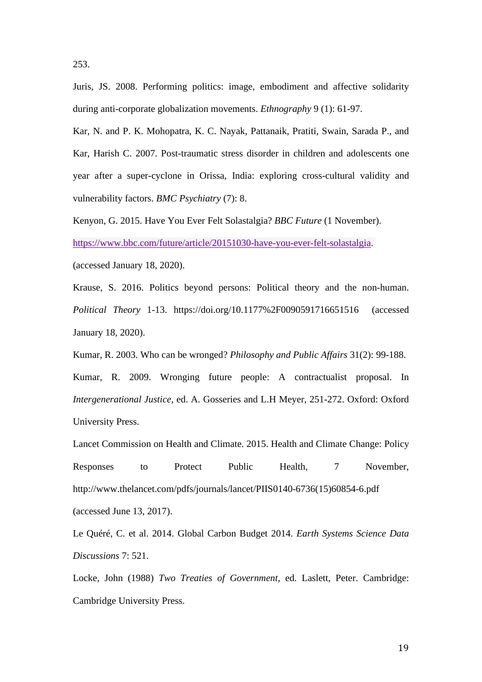Juris, JS. 2008. Performing politics: image, embodiment and affective solidarity

during anti-corporate globalization movements. *Ethnography* 9 (1): 61-97.

Kar, N. and P. K. Mohopatra, K. C. Nayak, Pattanaik, Pratiti, Swain, Sarada P., and Kar, Harish C. 2007. Post-traumatic stress disorder in children and adolescents one year after a super-cyclone in Orissa, India: exploring cross-cultural validity and vulnerability factors. *BMC Psychiatry* (7): 8.

Kenyon, G. 2015. Have You Ever Felt Solastalgia? *BBC Future* (1 November).

[https://www.bbc.com/future/article/20151030-have-you-ever-felt-solastalgia.](https://www.bbc.com/future/article/20151030-have-you-ever-felt-solastalgia)

(accessed January 18, 2020).

Krause, S. 2016. Politics beyond persons: Political theory and the non-human. *Political Theory* 1-13. https://doi.org/10.1177%2F0090591716651516 (accessed January 18, 2020).

Kumar, R. 2003. Who can be wronged? *Philosophy and Public Affairs* 31(2): 99-188. Kumar, R. 2009. Wronging future people: A contractualist proposal. In *Intergenerational Justice*, ed. A. Gosseries and L.H Meyer, 251-272. Oxford: Oxford University Press.

Lancet Commission on Health and Climate. 2015. Health and Climate Change: Policy Responses to Protect Public Health, 7 November, [http://www.thelancet.com/pdfs/journals/lancet/PIIS0140-6736\(15\)60854-6.pdf](http://www.thelancet.com/pdfs/journals/lancet/PIIS0140-6736(15)60854-6.pdf) (accessed June 13, 2017).

Le Quéré, C. et al. 2014. Global Carbon Budget 2014. *Earth Systems Science Data Discussions* 7: 521.

Locke, John (1988) *Two Treaties of Government*, ed. Laslett, Peter. Cambridge: Cambridge University Press.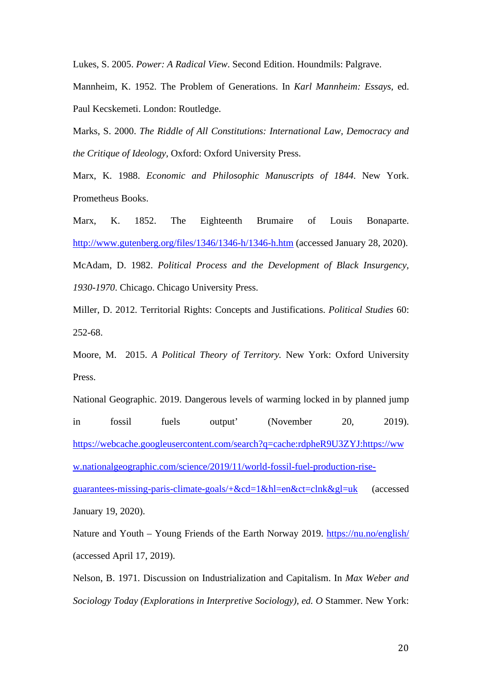Lukes, S. 2005. *Power: A Radical View*. Second Edition. Houndmils: Palgrave.

Mannheim, K. 1952. The Problem of Generations. In *Karl Mannheim: Essays*, ed. Paul Kecskemeti. London: Routledge.

Marks, S. 2000. *The Riddle of All Constitutions: International Law, Democracy and the Critique of Ideology,* Oxford: Oxford University Press.

Marx, K. 1988. *Economic and Philosophic Manuscripts of 1844*. New York. Prometheus Books.

Marx, K. 1852. The Eighteenth Brumaire of Louis Bonaparte. <http://www.gutenberg.org/files/1346/1346-h/1346-h.htm> (accessed January 28, 2020). McAdam, D. 1982. *Political Process and the Development of Black Insurgency, 1930-1970*. Chicago. Chicago University Press.

Miller, D. 2012. Territorial Rights: Concepts and Justifications. *Political Studies* 60: 252-68.

Moore, M. 2015. *A Political Theory of Territory.* New York: Oxford University Press.

National Geographic. 2019. Dangerous levels of warming locked in by planned jump in fossil fuels output' (November 20, 2019). [https://webcache.googleusercontent.com/search?q=cache:rdpheR9U3ZYJ:https://ww](https://webcache.googleusercontent.com/search?q=cache:rdpheR9U3ZYJ:https://www.nationalgeographic.com/science/2019/11/world-fossil-fuel-production-rise-guarantees-missing-paris-climate-goals/+&cd=1&hl=en&ct=clnk&gl=uk) [w.nationalgeographic.com/science/2019/11/world-fossil-fuel-production-rise](https://webcache.googleusercontent.com/search?q=cache:rdpheR9U3ZYJ:https://www.nationalgeographic.com/science/2019/11/world-fossil-fuel-production-rise-guarantees-missing-paris-climate-goals/+&cd=1&hl=en&ct=clnk&gl=uk)[guarantees-missing-paris-climate-goals/+&cd=1&hl=en&ct=clnk&gl=uk](https://webcache.googleusercontent.com/search?q=cache:rdpheR9U3ZYJ:https://www.nationalgeographic.com/science/2019/11/world-fossil-fuel-production-rise-guarantees-missing-paris-climate-goals/+&cd=1&hl=en&ct=clnk&gl=uk) (accessed January 19, 2020).

Nature and Youth – Young Friends of the Earth Norway 2019.<https://nu.no/english/> (accessed April 17, 2019).

Nelson, B. 1971. Discussion on Industrialization and Capitalism. In *Max Weber and Sociology Today (Explorations in Interpretive Sociology), ed. O* Stammer. New York:

20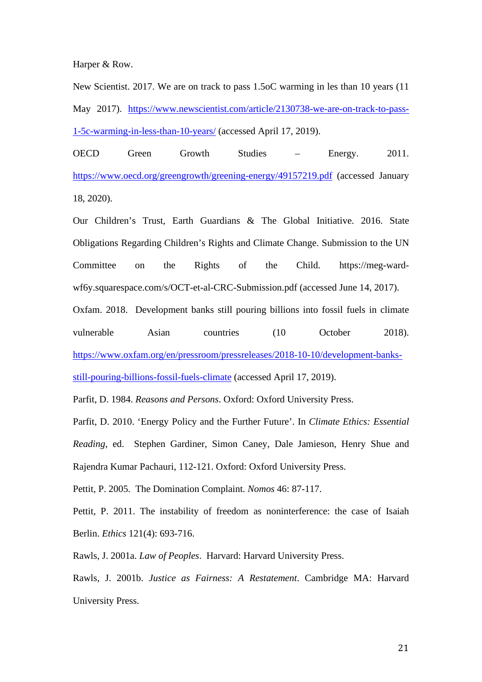Harper & Row.

New Scientist. 2017. We are on track to pass 1.5oC warming in les than 10 years (11 May 2017). [https://www.newscientist.com/article/2130738-we-are-on-track-to-pass-](https://www.newscientist.com/article/2130738-we-are-on-track-to-pass-1-5c-warming-in-less-than-10-years/)[1-5c-warming-in-less-than-10-years/](https://www.newscientist.com/article/2130738-we-are-on-track-to-pass-1-5c-warming-in-less-than-10-years/) (accessed April 17, 2019).

OECD Green Growth Studies – Energy. 2011. <https://www.oecd.org/greengrowth/greening-energy/49157219.pdf> (accessed January 18, 2020).

Our Children's Trust, Earth Guardians & The Global Initiative. 2016. State Obligations Regarding Children's Rights and Climate Change. Submission to the UN Committee on the Rights of the Child. [https://meg-ward](https://meg-ward-wf6y.squarespace.com/s/OCT-et-al-CRC-Submission.pdf)[wf6y.squarespace.com/s/OCT-et-al-CRC-Submission.pdf](https://meg-ward-wf6y.squarespace.com/s/OCT-et-al-CRC-Submission.pdf) (accessed June 14, 2017).

Oxfam. 2018. Development banks still pouring billions into fossil fuels in climate vulnerable Asian countries (10 October 2018). [https://www.oxfam.org/en/pressroom/pressreleases/2018-10-10/development-banks](https://www.oxfam.org/en/pressroom/pressreleases/2018-10-10/development-banks-still-pouring-billions-fossil-fuels-climate)[still-pouring-billions-fossil-fuels-climate](https://www.oxfam.org/en/pressroom/pressreleases/2018-10-10/development-banks-still-pouring-billions-fossil-fuels-climate) (accessed April 17, 2019).

Parfit, D. 1984. *Reasons and Persons*. Oxford: Oxford University Press.

Parfit, D. 2010. 'Energy Policy and the Further Future'. In *Climate Ethics: Essential Reading*, ed. Stephen Gardiner, Simon Caney, Dale Jamieson, Henry Shue and Rajendra Kumar Pachauri, 112-121. Oxford: Oxford University Press.

Pettit, P. 2005. The Domination Complaint. *Nomos* 46: 87-117.

Pettit, P. 2011. The instability of freedom as noninterference: the case of Isaiah Berlin. *Ethics* 121(4): 693-716.

Rawls, J. 2001a. *Law of Peoples*. Harvard: Harvard University Press.

Rawls, J. 2001b. *Justice as Fairness: A Restatement*. Cambridge MA: Harvard University Press.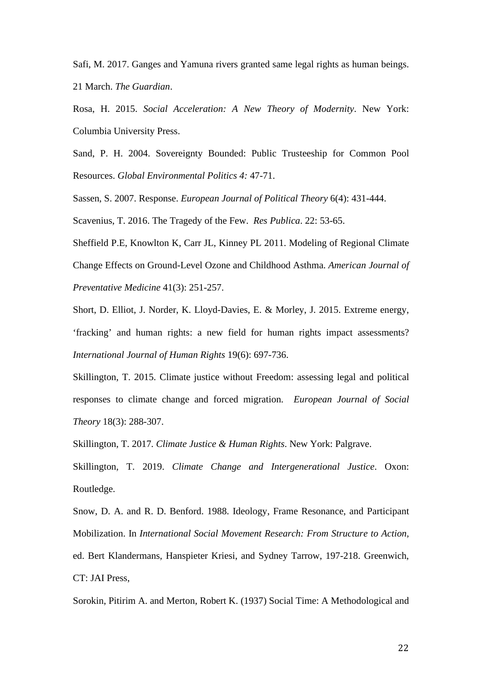Safi, M. 2017. Ganges and Yamuna rivers granted same legal rights as human beings. 21 March. *The Guardian*.

Rosa, H. 2015. *Social Acceleration: A New Theory of Modernity*. New York: Columbia University Press.

Sand, P. H. 2004. Sovereignty Bounded: Public Trusteeship for Common Pool Resources. *Global Environmental Politics 4:* 47-71.

Sassen, S. 2007. Response. *European Journal of Political Theory* 6(4): 431-444.

Scavenius, T. 2016. The Tragedy of the Few. *Res Publica*. 22: 53-65.

Sheffield P.E, Knowlton K, Carr JL, Kinney PL 2011. Modeling of Regional Climate Change Effects on Ground-Level Ozone and Childhood Asthma. *American Journal of Preventative Medicine* 41(3): 251-257.

Short, D. Elliot, J. Norder, K. Lloyd-Davies, E. & Morley, J. 2015. Extreme energy, 'fracking' and human rights: a new field for human rights impact assessments? *International Journal of Human Rights* 19(6): 697-736.

Skillington, T. 2015. Climate justice without Freedom: assessing legal and political responses to climate change and forced migration. *European Journal of Social Theory* 18(3): 288-307.

Skillington, T. 2017*. Climate Justice & Human Rights*. New York: Palgrave.

Skillington, T. 2019. *Climate Change and Intergenerational Justice*. Oxon: Routledge.

Snow, D. A. and R. D. Benford. 1988. Ideology, Frame Resonance, and Participant Mobilization. In *International Social Movement Research: From Structure to Action,* ed. Bert Klandermans, Hanspieter Kriesi, and Sydney Tarrow, 197-218. Greenwich, CT: JAI Press,

Sorokin, Pitirim A. and Merton, Robert K. (1937) Social Time: A Methodological and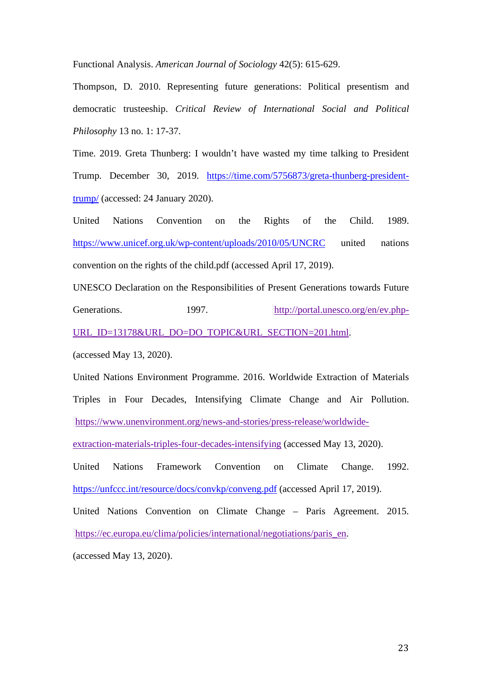Functional Analysis. *American Journal of Sociology* 42(5): 615-629.

Thompson, D. 2010. Representing future generations: Political presentism and democratic trusteeship. *Critical Review of International Social and Political Philosophy* 13 no. 1: 17-37.

Time. 2019. Greta Thunberg: I wouldn't have wasted my time talking to President Trump. December 30, 2019. [https://time.com/5756873/greta-thunberg-president](https://time.com/5756873/greta-thunberg-president-trump/)[trump/](https://time.com/5756873/greta-thunberg-president-trump/) (accessed: 24 January 2020).

United Nations Convention on the Rights of the Child. 1989. <https://www.unicef.org.uk/wp-content/uploads/2010/05/UNCRC> united nations convention on the rights of the child.pdf (accessed April 17, 2019).

UNESCO Declaration on the Responsibilities of Present Generations towards Future Generations. 1997. [http://portal.unesco.org/en/ev.php-](http://portal.unesco.org/en/ev.php-URL_ID=13178&URL_DO=DO_TOPIC&URL_SECTION=201.html)[URL\\_ID=13178&URL\\_DO=DO\\_TOPIC&URL\\_SECTION=201.html.](http://portal.unesco.org/en/ev.php-URL_ID=13178&URL_DO=DO_TOPIC&URL_SECTION=201.html)

(accessed May 13, 2020).

United Nations Environment Programme. 2016. Worldwide Extraction of Materials Triples in Four Decades, Intensifying Climate Change and Air Pollution. [https://www.unenvironment.org/news-and-stories/press-release/worldwide-](https://www.unenvironment.org/news-and-stories/press-release/worldwide-extraction-materials-triples-four-decades-intensifying)

[extraction-materials-triples-four-decades-intensifying](https://www.unenvironment.org/news-and-stories/press-release/worldwide-extraction-materials-triples-four-decades-intensifying) (accessed May 13, 2020).

United Nations Framework Convention on Climate Change. 1992. <https://unfccc.int/resource/docs/convkp/conveng.pdf> (accessed April 17, 2019).

United Nations Convention on Climate Change – Paris Agreement. 2015. [https://ec.europa.eu/clima/policies/international/negotiations/paris\\_en.](https://ec.europa.eu/clima/policies/international/negotiations/paris_en)

(accessed May 13, 2020).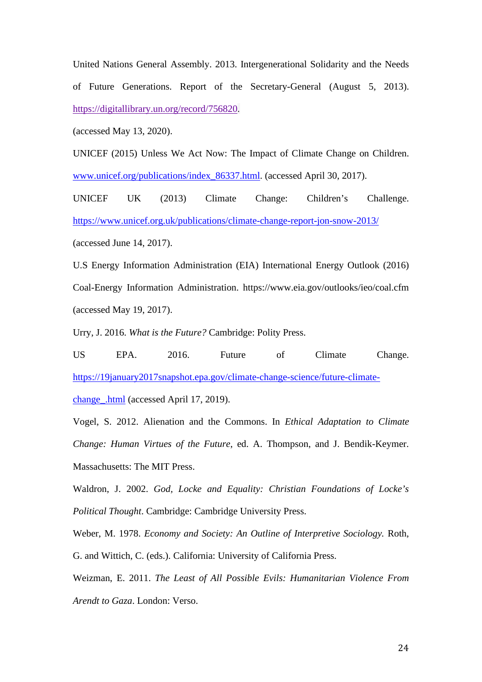United Nations General Assembly. 2013. Intergenerational Solidarity and the Needs of Future Generations. Report of the Secretary-General (August 5, 2013). [https://digitallibrary.un.org/record/756820.](https://digitallibrary.un.org/record/756820)

(accessed May 13, 2020).

UNICEF (2015) Unless We Act Now: The Impact of Climate Change on Children. [www.unicef.org/publications/index\\_86337.html.](http://www.unicef.org/publications/index_86337.html) (accessed April 30, 2017).

UNICEF UK (2013) Climate Change: Children's Challenge. <https://www.unicef.org.uk/publications/climate-change-report-jon-snow-2013/> (accessed June 14, 2017).

U.S Energy Information Administration (EIA) International Energy Outlook (2016) Coal-Energy Information Administration. <https://www.eia.gov/outlooks/ieo/coal.cfm> (accessed May 19, 2017).

Urry, J. 2016. *What is the Future?* Cambridge: Polity Press.

US EPA. 2016. Future of Climate Change. [https://19january2017snapshot.epa.gov/climate-change-science/future-climate](https://19january2017snapshot.epa.gov/climate-change-science/future-climate-change_.html)[change\\_.html](https://19january2017snapshot.epa.gov/climate-change-science/future-climate-change_.html) (accessed April 17, 2019).

Vogel, S. 2012. Alienation and the Commons. In *Ethical Adaptation to Climate Change: Human Virtues of the Future*, ed. A. Thompson, and J. Bendik-Keymer. Massachusetts: The MIT Press.

Waldron, J. 2002. *God, Locke and Equality: Christian Foundations of Locke's Political Thought*. Cambridge: Cambridge University Press.

Weber, M. 1978. *Economy and Society: An Outline of Interpretive Sociology.* Roth, G. and Wittich, C. (eds.). California: University of California Press.

Weizman, E. 2011. *The Least of All Possible Evils: Humanitarian Violence From Arendt to Gaza*. London: Verso.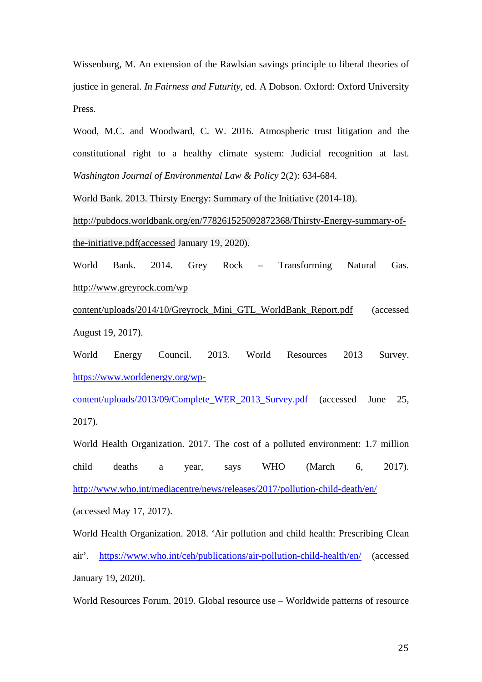Wissenburg, M. An extension of the Rawlsian savings principle to liberal theories of justice in general. *In Fairness and Futurity*, ed. A Dobson. Oxford: Oxford University Press.

Wood, M.C. and Woodward, C. W. 2016. Atmospheric trust litigation and the constitutional right to a healthy climate system: Judicial recognition at last. *Washington Journal of Environmental Law & Policy* 2(2): 634-684.

World Bank. 2013. Thirsty Energy: Summary of the Initiative (2014-18).

[http://pubdocs.worldbank.org/en/778261525092872368/Thirsty-Energy-summary-of](http://pubdocs.worldbank.org/en/778261525092872368/Thirsty-Energy-summary-of-the-initiative.pdf(accessed)[the-initiative.pdf\(accessed](http://pubdocs.worldbank.org/en/778261525092872368/Thirsty-Energy-summary-of-the-initiative.pdf(accessed) January 19, 2020).

World Bank. 2014. Grey Rock – Transforming Natural Gas. [http://www.greyrock.com/wp](http://www.greyrock.com/wp-content/uploads/2014/10/Greyrock_Mini_GTL_WorldBank_Report.pdf) 

[content/uploads/2014/10/Greyrock\\_Mini\\_GTL\\_WorldBank\\_Report.pdf](http://www.greyrock.com/wp-content/uploads/2014/10/Greyrock_Mini_GTL_WorldBank_Report.pdf) (accessed August 19, 2017).

World Energy Council. 2013. World Resources 2013 Survey. [https://www.worldenergy.org/wp-](https://www.worldenergy.org/wp-content/uploads/2013/09/Complete_WER_2013_Survey.pdf)

[content/uploads/2013/09/Complete\\_WER\\_2013\\_Survey.pdf](https://www.worldenergy.org/wp-content/uploads/2013/09/Complete_WER_2013_Survey.pdf) (accessed June 25, 2017).

World Health Organization. 2017. The cost of a polluted environment: 1.7 million child deaths a year, says WHO (March 6, 2017). <http://www.who.int/mediacentre/news/releases/2017/pollution-child-death/en/> (accessed May 17, 2017).

World Health Organization. 2018. 'Air pollution and child health: Prescribing Clean air'. <https://www.who.int/ceh/publications/air-pollution-child-health/en/> (accessed January 19, 2020).

World Resources Forum. 2019. Global resource use – Worldwide patterns of resource

25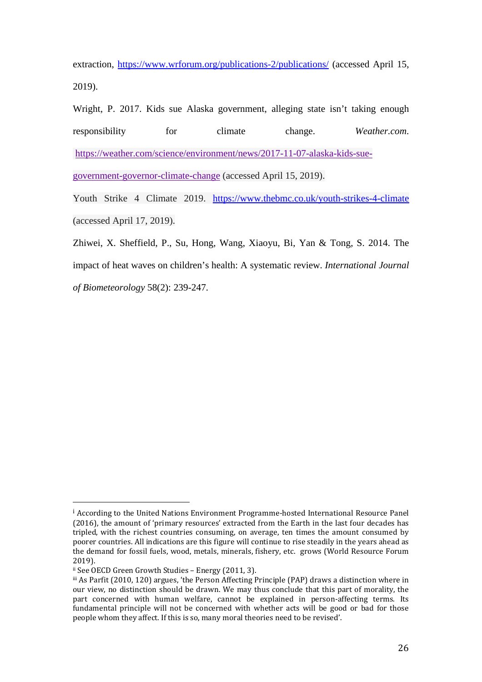extraction,<https://www.wrforum.org/publications-2/publications/> (accessed April 15, 2019).

Wright, P. 2017. Kids sue Alaska government, alleging state isn't taking enough responsibility for climate change. *Weather.com*. [https://weather.com/science/environment/news/2017-11-07-alaska-kids-sue-](https://weather.com/science/environment/news/2017-11-07-alaska-kids-sue-government-governor-climate-change)

[government-governor-climate-change](https://weather.com/science/environment/news/2017-11-07-alaska-kids-sue-government-governor-climate-change) (accessed April 15, 2019).

Youth Strike 4 Climate 2019. <https://www.thebmc.co.uk/youth-strikes-4-climate> (accessed April 17, 2019).

Zhiwei, X. Sheffield, P., Su, Hong, Wang, Xiaoyu, Bi, Yan & Tong, S. 2014. The impact of heat waves on children's health: A systematic review. *International Journal of Biometeorology* 58(2): 239-247.

<span id="page-26-0"></span><sup>i</sup> According to the United Nations Environment Programme-hosted International Resource Panel (2016), the amount of 'primary resources' extracted from the Earth in the last four decades has tripled, with the richest countries consuming, on average, ten times the amount consumed by poorer countries. All indications are this figure will continue to rise steadily in the years ahead as the demand for fossil fuels, wood, metals, minerals, fishery, etc. grows (World Resource Forum 2019).<br>ii See OECD Green Growth Studies – Energy (2011, 3).

<span id="page-26-2"></span><span id="page-26-1"></span>iii As Parfit (2010, 120) argues, 'the Person Affecting Principle (PAP) draws a distinction where in our view, no distinction should be drawn. We may thus conclude that this part of morality, the part concerned with human welfare, cannot be explained in person-affecting terms. Its fundamental principle will not be concerned with whether acts will be good or bad for those people whom they affect. If this is so, many moral theories need to be revised'.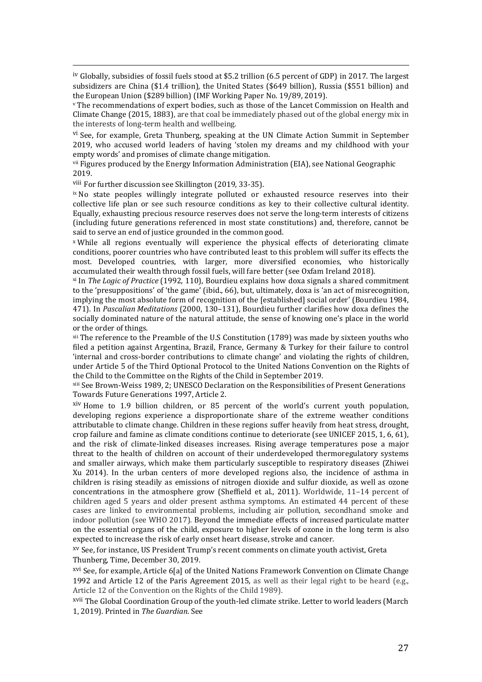<span id="page-27-0"></span>iv Globally, subsidies of fossil fuels stood at \$5.2 trillion (6.5 percent of GDP) in 2017. The largest subsidizers are China (\$1.4 trillion), the United States (\$649 billion), Russia (\$551 billion) and the European Union (\$289 billion) (IMF Working Paper No. 19/89, 2019).

<span id="page-27-1"></span><sup>v</sup> The recommendations of expert bodies, such as those of the Lancet Commission on Health and Climate Change (2015, 1883), are that coal be immediately phased out of the global energy mix in the interests of long-term health and wellbeing.

<span id="page-27-2"></span>vi See, for example, Greta Thunberg, speaking at the UN Climate Action Summit in September 2019, who accused world leaders of having 'stolen my dreams and my childhood with your empty words' and promises of climate change mitigation.

<span id="page-27-3"></span>vii Figures produced by the Energy Information Administration (EIA), see National Geographic 2019.

<span id="page-27-4"></span>viii For further discussion see Skillington (2019, 33-35).

<span id="page-27-5"></span>ix No state peoples willingly integrate polluted or exhausted resource reserves into their collective life plan or see such resource conditions as key to their collective cultural identity. Equally, exhausting precious resource reserves does not serve the long-term interests of citizens (including future generations referenced in most state constitutions) and, therefore, cannot be said to serve an end of justice grounded in the common good.

<span id="page-27-6"></span><sup>x</sup> While all regions eventually will experience the physical effects of deteriorating climate conditions, poorer countries who have contributed least to this problem will suffer its effects the most. Developed countries, with larger, more diversified economies, who historically accumulated their wealth through fossil fuels, will fare better (see Oxfam Ireland 2018).

<span id="page-27-7"></span>xi In *The Logic of Practice* (1992, 110), Bourdieu explains how doxa signals a shared commitment to the 'presuppositions' of 'the game' (ibid., 66), but, ultimately, doxa is 'an act of misrecognition, implying the most absolute form of recognition of the [established] social order' (Bourdieu 1984, 471). In *Pascalian Meditations* (2000, 130–131), Bourdieu further clarifies how doxa defines the socially dominated nature of the natural attitude, the sense of knowing one's place in the world<br>or the order of things.

<span id="page-27-8"></span><sup>xii</sup> The reference to the Preamble of the U.S Constitution (1789) was made by sixteen youths who filed a petition against Argentina, Brazil, France, Germany & Turkey for their failure to control 'internal and cross-border contributions to climate change' and violating the rights of children, under Article 5 of the Third Optional Protocol to the United Nations Convention on the Rights of the Child to the Committee on the Rights of the Child in September 2019.

<span id="page-27-9"></span>xiii See Brown-Weiss 1989, 2; UNESCO Declaration on the Responsibilities of Present Generations Towards Future Generations 1997, Article 2.

<span id="page-27-10"></span>xiv Home to 1.9 billion children, or 85 percent of the world's current youth population, developing regions experience a disproportionate share of the extreme weather conditions attributable to climate change. Children in these regions suffer heavily from heat stress, drought, crop failure and famine as climate conditions continue to deteriorate (see UNICEF 2015, 1, 6, 61), and the risk of climate-linked diseases increases. Rising average temperatures pose a major threat to the health of children on account of their underdeveloped thermoregulatory systems and smaller airways, which make them particularly susceptible to respiratory diseases (Zhiwei Xu 2014). In the urban centers of more developed regions also, the incidence of asthma in children is rising steadily as emissions of nitrogen dioxide and sulfur dioxide, as well as ozone concentrations in the atmosphere grow (Sheffield et al., 2011). Worldwide, 11–14 percent of children aged 5 years and older present asthma symptoms. An estimated 44 percent of these cases are linked to environmental problems, including air pollution, secondhand smoke and indoor pollution (see WHO 2017). Beyond the immediate effects of increased particulate matter on the essential organs of the child, exposure to higher levels of ozone in the long term is also expected to increase the risk of early onset heart disease, stroke and cancer.

<span id="page-27-11"></span>xv See, for instance, US President Trump's recent comments on climate youth activist, Greta Thunberg, Time, December 30, 2019.

<span id="page-27-12"></span>xvi See, for example, Article 6[a] of the United Nations Framework Convention on Climate Change 1992 and Article 12 of the Paris Agreement 2015, as well as their legal right to be heard (e.g., Article 12 of the Convention on the Rights of the Child 1989).

<span id="page-27-13"></span>xvii The Global Coordination Group of the youth-led climate strike. Letter to world leaders (March 1, 2019). Printed in *The Guardian*. See